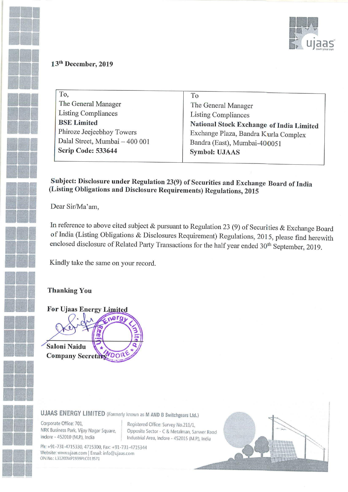

## 13" December, 2019

| 13 <sup>th</sup> December, 2019<br>To,                                                                                                                       | To                                                                                                                                                                                     |
|--------------------------------------------------------------------------------------------------------------------------------------------------------------|----------------------------------------------------------------------------------------------------------------------------------------------------------------------------------------|
| The General Manager<br><b>Listing Compliances</b><br><b>BSE</b> Limited<br>Phiroze Jeejeebhoy Towers<br>Dalal Street, Mumbai - 400 001<br>Scrip Code: 533644 | The General Manager<br><b>Listing Compliances</b><br>National Stock Exchange of India Limited<br>Exchange Plaza, Bandra Kurla Complex<br>Bandra (East), Mumbai-400051<br>Symbol: UJAAS |

# Subject: Disclosure under Regulation 23(9) of Securities and Exchange Board of India (Listing Obligations and Disclosure Requirements) Regulations, <sup>2015</sup>

Dear Sir/Ma'am,

In reference to above cited subject & pursuant to Regulation 23 (9) of Securities & Exchange Board of India (Listing Obligations & Disclosures Requirement) Regulations, 2015, please find herewith enclosed disclosure of Related Party Transactions for the half year ended 30<sup>th</sup> September, 2019.

Kindly take the same on your record.

## Thanking You

For Ujaas Energy Limited For Ujaas Energy  $\bigcirc$ .



## UJAAS ENERGY LIMITED (Formerly known as M AND B Switchgears Ltd.)

Corporate Office: 701,<br>
NRK Business Park, Vijay Nagar Square, | Opposite Sector - C & Metalman, Sa

NRK Business Park, Vijay Nagar Square, | Opposite Sector - C & Metalman, Sanwer Raod Indore - 452010 (M.P.), India

Ph: +91-731-4715330, 4715300, Fax: +91-731-4715344 Website: www.ujaas,com | Email: info@ujaas.com CIN No.: L31200MP1999PLC013571

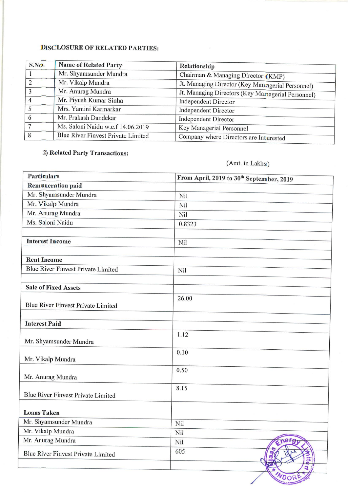## DISCLOSURE OF RELATED PARTIES:

|                        | <b>DISCLOSURE OF RELATED PARTIES:</b>     |                                                   |
|------------------------|-------------------------------------------|---------------------------------------------------|
|                        |                                           |                                                   |
| S.No.                  | <b>Name of Related Party</b>              | Relationship                                      |
| $\mathbf{1}$           | Mr. Shyamsunder Mundra                    | Chairman & Managing Director (KMP)                |
| $\overline{2}$         | Mr. Vikalp Mundra                         | Jt. Managing Director (Key Managerial Personnel)  |
| $\overline{3}$         | Mr. Anurag Mundra                         | Jt. Managing Directors (Key Managerial Personnel) |
| $\overline{4}$         | Mr. Piyush Kumar Sinha                    | <b>Independent Director</b>                       |
| 5                      | Mrs. Yamini Karmarkar                     | <b>Independent Director</b>                       |
| 6                      | Mr. Prakash Dandekar                      | <b>Independent Director</b>                       |
| $\boldsymbol{7}$       | Ms. Saloni Naidu w.e.f 14.06.2019         | Key Managerial Personnel                          |
| $\bf 8$                | <b>Blue River Finvest Private Limited</b> | Company where Directors are Interested            |
|                        | 2) Related Party Transactions:            |                                                   |
|                        |                                           |                                                   |
|                        |                                           | (Amt. in Lakhs)                                   |
| <b>Particulars</b>     |                                           | From April, 2019 to 30th September, 2019          |
|                        | Remuneration paid                         |                                                   |
|                        | Mr. Shyamsunder Mundra                    | Nil                                               |
|                        | Mr. Vikalp Mundra                         | Nil                                               |
|                        | Mr. Anurag Mundra                         | Nil                                               |
|                        | Ms. Saloni Naidu                          | 0.8323                                            |
| <b>Interest Income</b> |                                           | Nil                                               |

# 2) Related Party Transactions:

# (Amt. in Lakhs)

|                                                         | <b>DISCLOSURE OF RELATED PARTIES:</b>     |                                                        |  |
|---------------------------------------------------------|-------------------------------------------|--------------------------------------------------------|--|
| S.No.                                                   | <b>Name of Related Party</b>              | Relationship                                           |  |
| 1                                                       | Mr. Shyamsunder Mundra                    | Chairman & Managing Director (KMP)                     |  |
| $\overline{2}$                                          | Mr. Vikalp Mundra                         | Jt. Managing Director (Key Managerial Personnel)       |  |
| 3                                                       | Mr. Anurag Mundra                         | Jt. Managing Directors (Key Managerial Personnel)      |  |
| 4                                                       | Mr. Piyush Kumar Sinha                    | <b>Independent Director</b>                            |  |
| 5                                                       | Mrs. Yamini Karmarkar                     | <b>Independent Director</b>                            |  |
| 6                                                       | Mr. Prakash Dandekar                      | <b>Independent Director</b>                            |  |
| $\overline{7}$                                          | Ms. Saloni Naidu w.e.f 14.06.2019         | Key Managerial Personnel                               |  |
| $\boldsymbol{8}$                                        | <b>Blue River Finvest Private Limited</b> | Company where Directors are Interested                 |  |
|                                                         | 2) Related Party Transactions:            | (Amt. in Lakhs)                                        |  |
| <b>Particulars</b>                                      |                                           | From April, 2019 to 30 <sup>th</sup> September, 2019   |  |
|                                                         | Remuneration paid                         |                                                        |  |
|                                                         | Mr. Shyamsunder Mundra                    | Nil                                                    |  |
|                                                         | Mr. Vikalp Mundra                         | Nil                                                    |  |
|                                                         | Mr. Anurag Mundra                         | Nil                                                    |  |
| Ms. Saloni Naidu                                        |                                           | 0.8323                                                 |  |
|                                                         |                                           |                                                        |  |
| <b>Interest Income</b>                                  |                                           | Nil                                                    |  |
| <b>Rent Income</b>                                      |                                           |                                                        |  |
|                                                         |                                           |                                                        |  |
|                                                         | <b>Blue River Finvest Private Limited</b> | Nil                                                    |  |
|                                                         | <b>Sale of Fixed Assets</b>               |                                                        |  |
| Blue River Finvest Private Limited                      |                                           | 26.00                                                  |  |
| <b>Interest Paid</b>                                    |                                           |                                                        |  |
| Mr. Shyamsunder Mundra                                  |                                           | 1.12                                                   |  |
| Mr. Vikalp Mundra                                       |                                           | 0.10                                                   |  |
| Mr. Anurag Mundra                                       |                                           | 0.50                                                   |  |
|                                                         | <b>Blue River Finvest Private Limited</b> | 8.15                                                   |  |
| <b>Loans Taken</b>                                      |                                           |                                                        |  |
|                                                         | Mr. Shyamsunder Mundra                    | Nil                                                    |  |
| Mr. Vikalp Mundra                                       |                                           | Nil                                                    |  |
|                                                         |                                           | Nil                                                    |  |
| Mr. Anurag Mundra<br>Blue River Finvest Private Limited |                                           | 605                                                    |  |
|                                                         |                                           | <b>rd</b><br>$\equiv$<br>$\frac{1}{\sqrt{2}}$<br>WDORE |  |